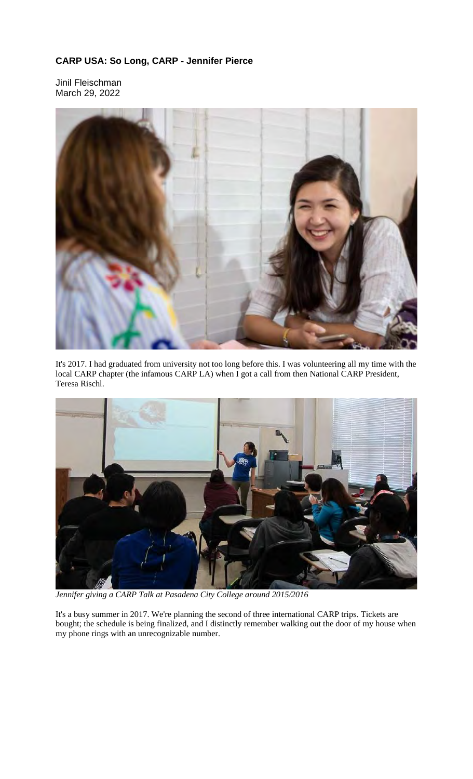## **CARP USA: So Long, CARP - Jennifer Pierce**

Jinil Fleischman March 29, 2022



It's 2017. I had graduated from university not too long before this. I was volunteering all my time with the local CARP chapter (the infamous CARP LA) when I got a call from then National CARP President, Teresa Rischl.



*Jennifer giving a CARP Talk at Pasadena City College around 2015/2016*

It's a busy summer in 2017. We're planning the second of three international CARP trips. Tickets are bought; the schedule is being finalized, and I distinctly remember walking out the door of my house when my phone rings with an unrecognizable number.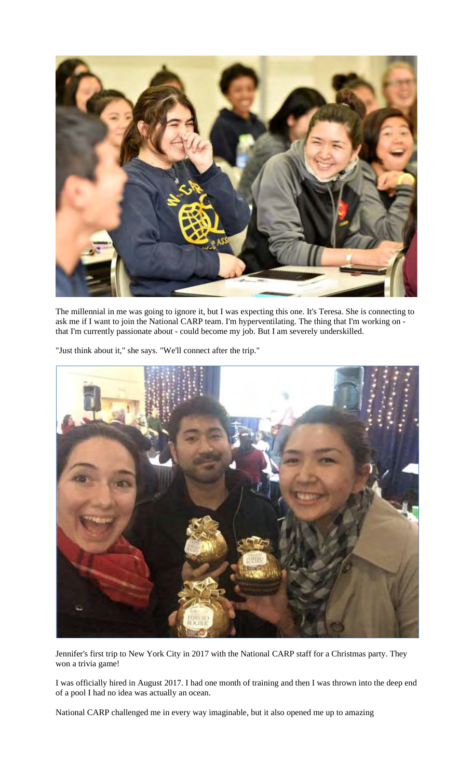

The millennial in me was going to ignore it, but I was expecting this one. It's Teresa. She is connecting to ask me if I want to join the National CARP team. I'm hyperventilating. The thing that I'm working on that I'm currently passionate about - could become my job. But I am severely underskilled.

"Just think about it," she says. "We'll connect after the trip."



Jennifer's first trip to New York City in 2017 with the National CARP staff for a Christmas party. They won a trivia game!

I was officially hired in August 2017. I had one month of training and then I was thrown into the deep end of a pool I had no idea was actually an ocean.

National CARP challenged me in every way imaginable, but it also opened me up to amazing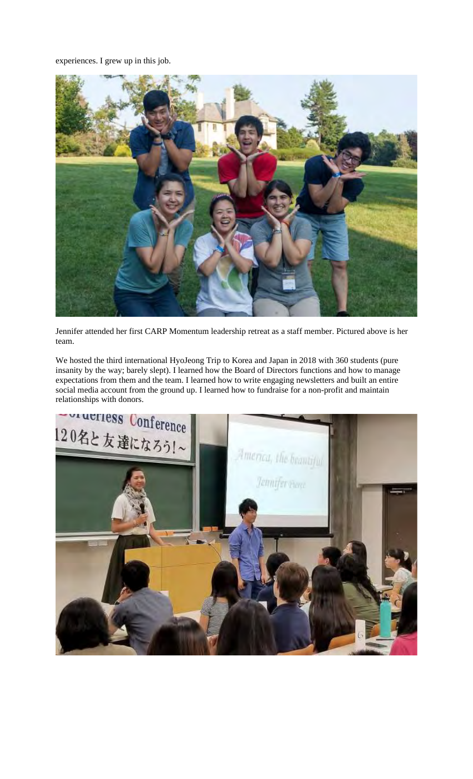experiences. I grew up in this job.



Jennifer attended her first CARP Momentum leadership retreat as a staff member. Pictured above is her team.

We hosted the third international HyoJeong Trip to Korea and Japan in 2018 with 360 students (pure insanity by the way; barely slept). I learned how the Board of Directors functions and how to manage expectations from them and the team. I learned how to write engaging newsletters and built an entire social media account from the ground up. I learned how to fundraise for a non-profit and maintain

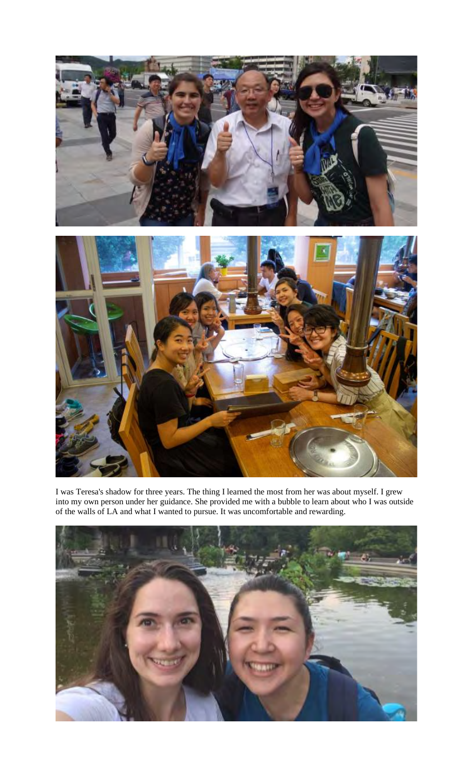

I was Teresa's shadow for three years. The thing I learned the most from her was about myself. I grew into my own person under her guidance. She provided me with a bubble to learn about who I was outside of the walls of LA and what I wanted to pursue. It was uncomfortable and rewarding.

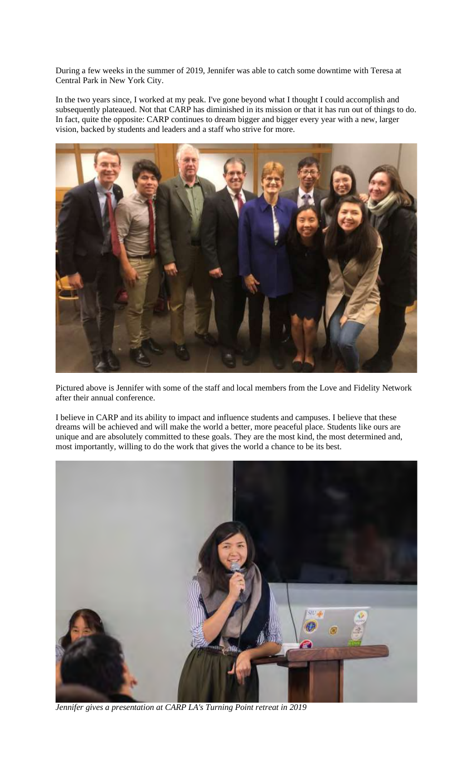During a few weeks in the summer of 2019, Jennifer was able to catch some downtime with Teresa at Central Park in New York City.

In the two years since, I worked at my peak. I've gone beyond what I thought I could accomplish and subsequently plateaued. Not that CARP has diminished in its mission or that it has run out of things to do. In fact, quite the opposite: CARP continues to dream bigger and bigger every year with a new, larger vision, backed by students and leaders and a staff who strive for more.



Pictured above is Jennifer with some of the staff and local members from the Love and Fidelity Network after their annual conference.

I believe in CARP and its ability to impact and influence students and campuses. I believe that these dreams will be achieved and will make the world a better, more peaceful place. Students like ours are unique and are absolutely committed to these goals. They are the most kind, the most determined and, most importantly, willing to do the work that gives the world a chance to be its best.



*Jennifer gives a presentation at CARP LA's Turning Point retreat in 2019*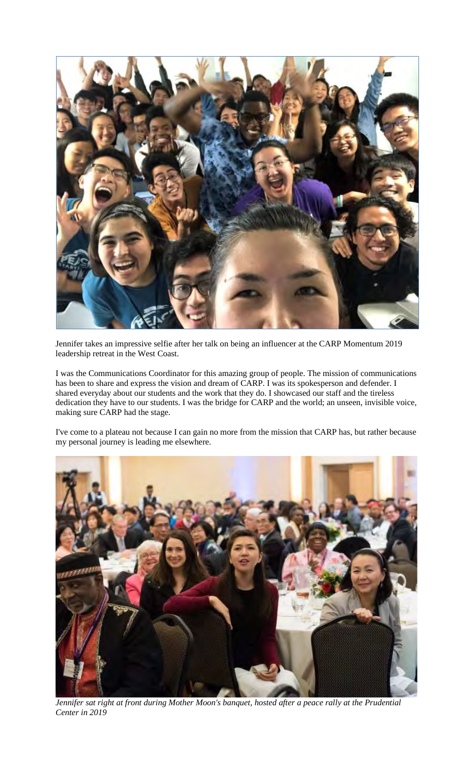

Jennifer takes an impressive selfie after her talk on being an influencer at the CARP Momentum 2019 leadership retreat in the West Coast.

I was the Communications Coordinator for this amazing group of people. The mission of communications has been to share and express the vision and dream of CARP. I was its spokesperson and defender. I shared everyday about our students and the work that they do. I showcased our staff and the tireless dedication they have to our students. I was the bridge for CARP and the world; an unseen, invisible voice, making sure CARP had the stage.

I've come to a plateau not because I can gain no more from the mission that CARP has, but rather because my personal journey is leading me elsewhere.



*Jennifer sat right at front during Mother Moon's banquet, hosted after a peace rally at the Prudential Center in 2019*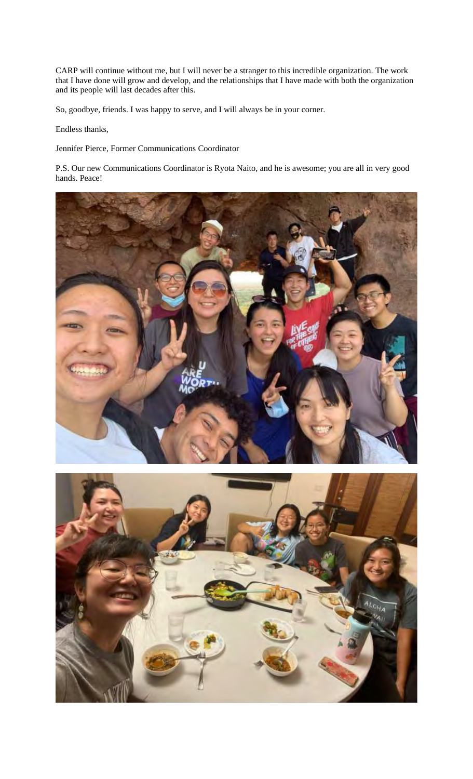CARP will continue without me, but I will never be a stranger to this incredible organization. The work that I have done will grow and develop, and the relationships that I have made with both the organization and its people will last decades after this.

So, goodbye, friends. I was happy to serve, and I will always be in your corner.

Endless thanks,

Jennifer Pierce, Former Communications Coordinator

P.S. Our new Communications Coordinator is Ryota Naito, and he is awesome; you are all in very good hands. Peace!

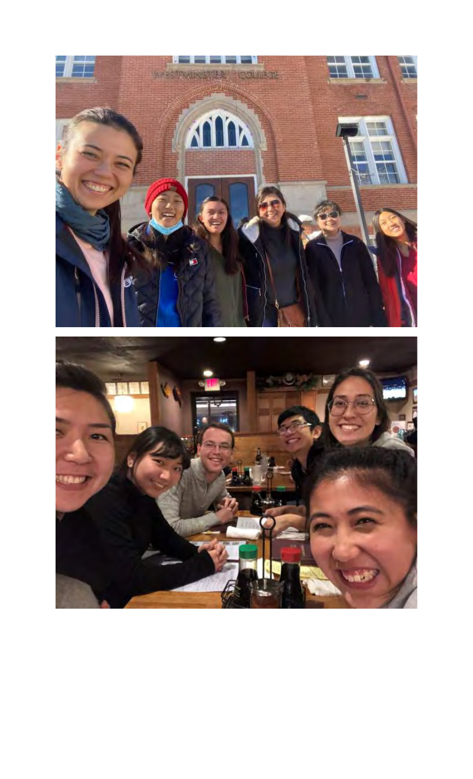